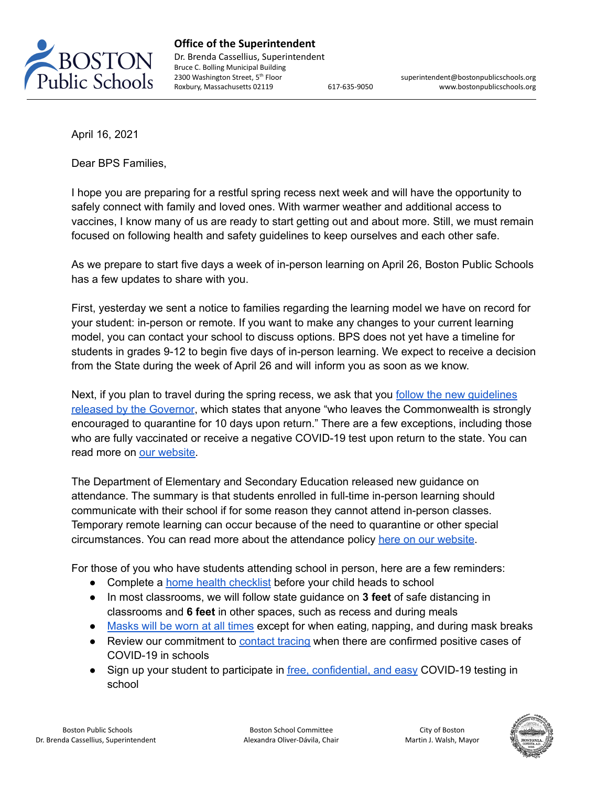

**Office of the Superintendent** Dr. Brenda Cassellius, Superintendent Bruce C. Bolling Municipal Building 2300 Washington Street, 5<sup>th</sup> Floor

superintendent@bostonpublicschools.org Roxbury, Massachusetts 02119 617-635-9050 www.bostonpublicschools.org

April 16, 2021

Dear BPS Families,

I hope you are preparing for a restful spring recess next week and will have the opportunity to safely connect with family and loved ones. With warmer weather and additional access to vaccines, I know many of us are ready to start getting out and about more. Still, we must remain focused on following health and safety guidelines to keep ourselves and each other safe.

As we prepare to start five days a week of in-person learning on April 26, Boston Public Schools has a few updates to share with you.

First, yesterday we sent a notice to families regarding the learning model we have on record for your student: in-person or remote. If you want to make any changes to your current learning model, you can contact your school to discuss options. BPS does not yet have a timeline for students in grades 9-12 to begin five days of in-person learning. We expect to receive a decision from the State during the week of April 26 and will inform you as soon as we know.

Next, if you plan to travel during the spring recess, we ask that you follow the new [guidelines](https://www.mass.gov/info-details/covid-19-travel-advisory) released by the [Governor](https://www.mass.gov/info-details/covid-19-travel-advisory), which states that anyone "who leaves the Commonwealth is strongly encouraged to quarantine for 10 days upon return." There are a few exceptions, including those who are fully vaccinated or receive a negative COVID-19 test upon return to the state. You can read more on our [website.](https://www.bostonpublicschools.org/Page/8427)

The Department of Elementary and Secondary Education released new guidance on attendance. The summary is that students enrolled in full-time in-person learning should communicate with their school if for some reason they cannot attend in-person classes. Temporary remote learning can occur because of the need to quarantine or other special circumstances. You can read more about the attendance policy here on our [website.](https://www.bostonpublicschools.org/Page/8521)

For those of you who have students attending school in person, here are a few reminders:

- Complete a home health [checklist](https://www.bostonpublicschools.org/Page/8427) before your child heads to school
- In most classrooms, we will follow state guidance on **3 feet** of safe distancing in classrooms and **6 feet** in other spaces, such as recess and during meals
- [Masks](https://www.bostonpublicschools.org/Page/8457) will be worn at all times except for when eating, napping, and during mask breaks
- Review our commitment to [contact](https://www.bostonpublicschools.org/Page/8531) tracing when there are confirmed positive cases of COVID-19 in schools
- Sign up your student to participate in free, [confidential,](https://www.bostonpublicschools.org/Page/8581) and easy COVID-19 testing in school